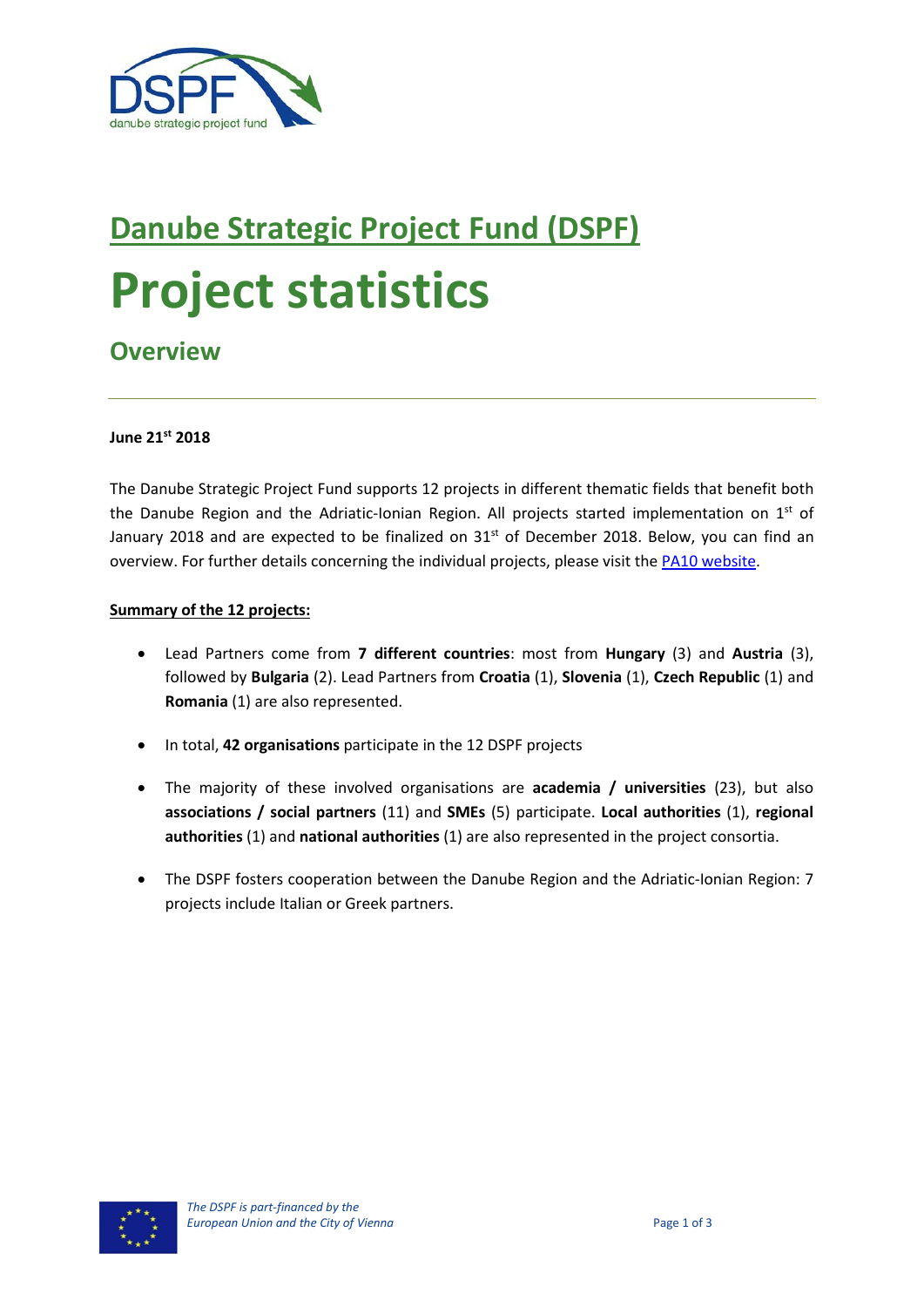

# **Danube Strategic Project Fund (DSPF) Project statistics**

# **Overview**

#### **June 21st 2018**

The Danube Strategic Project Fund supports 12 projects in different thematic fields that benefit both the Danube Region and the Adriatic-Ionian Region. All projects started implementation on  $1<sup>st</sup>$  of January 2018 and are expected to be finalized on 31<sup>st</sup> of December 2018. Below, you can find an overview. For further details concerning the individual projects, please visit th[e PA10 website.](https://www.danube-capacitycooperation.eu/dspf-projects)

#### **Summary of the 12 projects:**

- Lead Partners come from **7 different countries**: most from **Hungary** (3) and **Austria** (3), followed by **Bulgaria** (2). Lead Partners from **Croatia** (1), **Slovenia** (1), **Czech Republic** (1) and **Romania** (1) are also represented.
- In total, **42 organisations** participate in the 12 DSPF projects
- The majority of these involved organisations are **academia / universities** (23), but also **associations / social partners** (11) and **SMEs** (5) participate. **Local authorities** (1), **regional authorities** (1) and **national authorities** (1) are also represented in the project consortia.
- The DSPF fosters cooperation between the Danube Region and the Adriatic-Ionian Region: 7 projects include Italian or Greek partners.

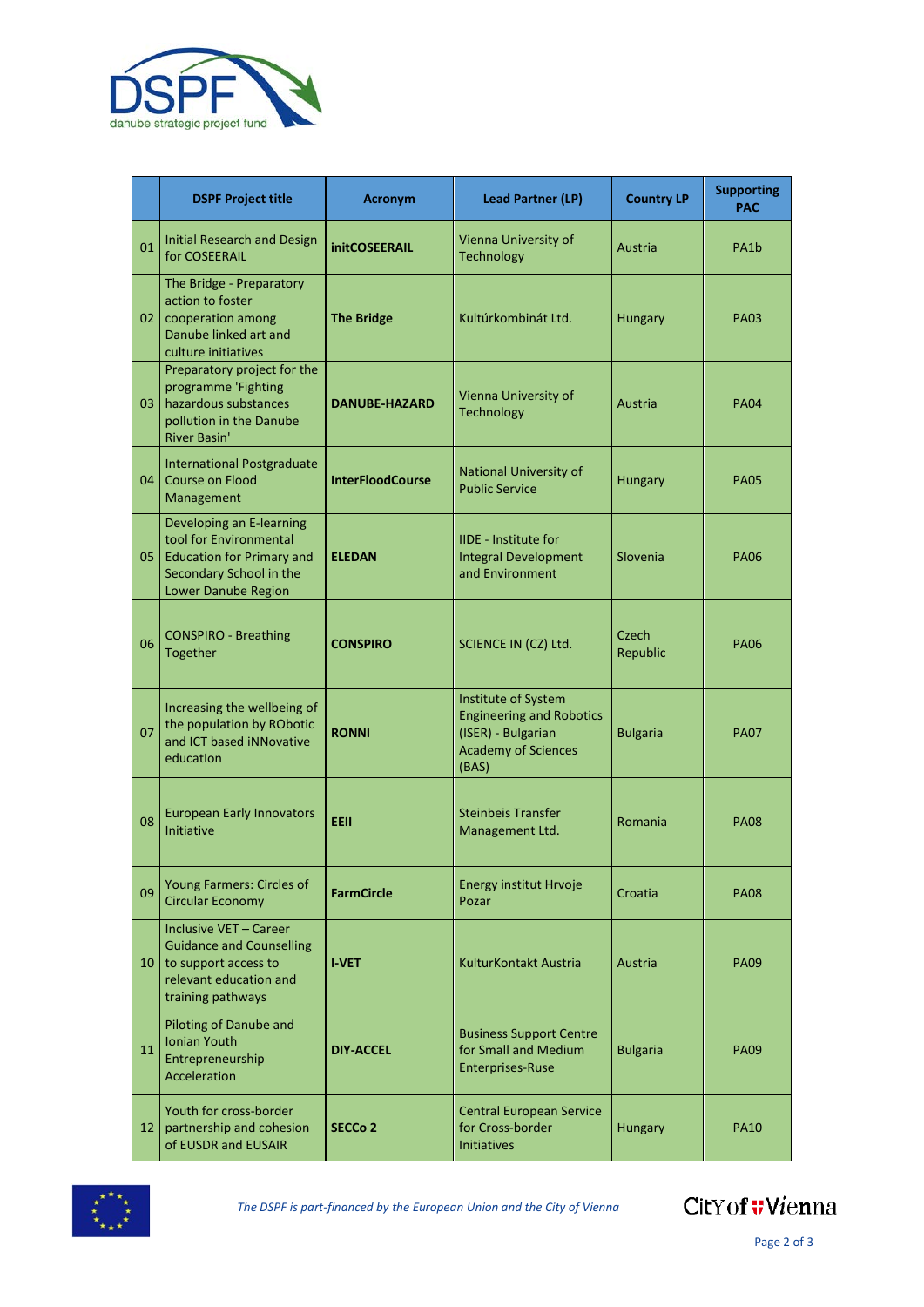

|                 | <b>DSPF Project title</b>                                                                                                                | <b>Acronym</b>          | <b>Lead Partner (LP)</b>                                                                                            | <b>Country LP</b> | <b>Supporting</b><br>PAC |
|-----------------|------------------------------------------------------------------------------------------------------------------------------------------|-------------------------|---------------------------------------------------------------------------------------------------------------------|-------------------|--------------------------|
| 01              | Initial Research and Design<br>for COSEERAIL                                                                                             | <b>initCOSEERAIL</b>    | Vienna University of<br>Technology                                                                                  | Austria           | PA1 <sub>b</sub>         |
| 02 <sub>2</sub> | The Bridge - Preparatory<br>action to foster<br>cooperation among<br>Danube linked art and<br>culture initiatives                        | <b>The Bridge</b>       | Kultúrkombinát Ltd.                                                                                                 | Hungary           | <b>PA03</b>              |
| 03              | Preparatory project for the<br>programme 'Fighting<br>hazardous substances<br>pollution in the Danube<br><b>River Basin'</b>             | <b>DANUBE-HAZARD</b>    | Vienna University of<br>Technology                                                                                  | Austria           | <b>PA04</b>              |
| 04              | <b>International Postgraduate</b><br><b>Course on Flood</b><br>Management                                                                | <b>InterFloodCourse</b> | National University of<br><b>Public Service</b>                                                                     | Hungary           | <b>PA05</b>              |
| 05              | Developing an E-learning<br>tool for Environmental<br><b>Education for Primary and</b><br>Secondary School in the<br>Lower Danube Region | <b>ELEDAN</b>           | <b>IIDE - Institute for</b><br><b>Integral Development</b><br>and Environment                                       | Slovenia          | <b>PA06</b>              |
| 06              | <b>CONSPIRO - Breathing</b><br>Together                                                                                                  | <b>CONSPIRO</b>         | SCIENCE IN (CZ) Ltd.                                                                                                | Czech<br>Republic | <b>PA06</b>              |
| 07              | Increasing the wellbeing of<br>the population by RObotic<br>and ICT based iNNovative<br>education                                        | <b>RONNI</b>            | Institute of System<br><b>Engineering and Robotics</b><br>(ISER) - Bulgarian<br><b>Academy of Sciences</b><br>(BAS) | <b>Bulgaria</b>   | <b>PA07</b>              |
| 08              | <b>European Early Innovators</b><br><b>Initiative</b>                                                                                    | <b>EEII</b>             | <b>Steinbeis Transfer</b><br>Management Ltd.                                                                        | Romania           | <b>PA08</b>              |
| 09              | Young Farmers: Circles of<br><b>Circular Economy</b>                                                                                     | <b>FarmCircle</b>       | <b>Energy institut Hrvoje</b><br>Pozar                                                                              | Croatia           | <b>PA08</b>              |
| 10              | Inclusive VET - Career<br><b>Guidance and Counselling</b><br>to support access to<br>relevant education and<br>training pathways         | <b>I-VET</b>            | KulturKontakt Austria                                                                                               | Austria           | <b>PA09</b>              |
| 11              | Piloting of Danube and<br><b>Ionian Youth</b><br>Entrepreneurship<br>Acceleration                                                        | <b>DIY-ACCEL</b>        | <b>Business Support Centre</b><br>for Small and Medium<br><b>Enterprises-Ruse</b>                                   | <b>Bulgaria</b>   | <b>PA09</b>              |
| 12              | Youth for cross-border<br>partnership and cohesion<br>of EUSDR and EUSAIR                                                                | SECCo <sub>2</sub>      | <b>Central European Service</b><br>for Cross-border<br><b>Initiatives</b>                                           | Hungary           | <b>PA10</b>              |